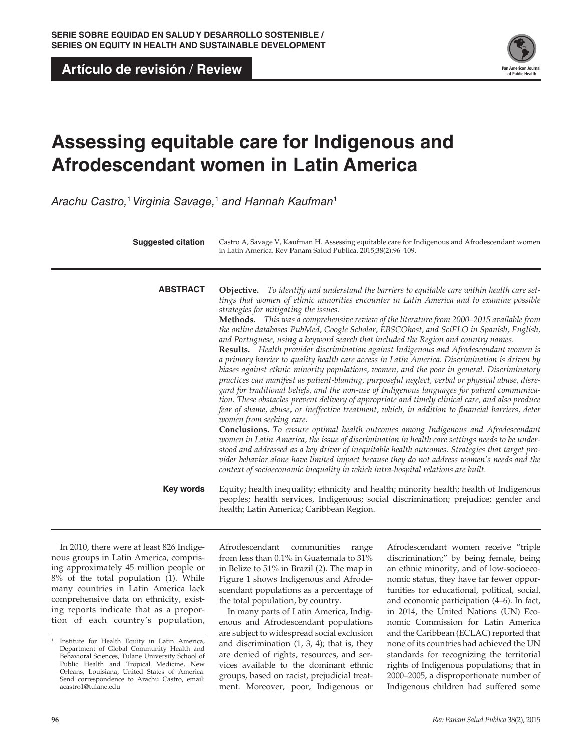**Artículo de revisión** / **Review**



# **Assessing equitable care for Indigenous and Afrodescendant women in Latin America**

*Arachu Castro,*<sup>1</sup> *Virginia Savage,*<sup>1</sup>  *and Hannah Kaufman*<sup>1</sup>

| <b>Suggested citation</b> | Castro A, Savage V, Kaufman H. Assessing equitable care for Indigenous and Afrodescendant women<br>in Latin America. Rev Panam Salud Publica. 2015;38(2):96-109.                                                                                                                                                                                                                                                                                                                                                                                                                                                                                                                                                                                                                                                                                                                                                                                                                                                                                                                                                                                                                                                                                                                                                                                                                                                                                                                                                                                                                                                                                                                                                                  |
|---------------------------|-----------------------------------------------------------------------------------------------------------------------------------------------------------------------------------------------------------------------------------------------------------------------------------------------------------------------------------------------------------------------------------------------------------------------------------------------------------------------------------------------------------------------------------------------------------------------------------------------------------------------------------------------------------------------------------------------------------------------------------------------------------------------------------------------------------------------------------------------------------------------------------------------------------------------------------------------------------------------------------------------------------------------------------------------------------------------------------------------------------------------------------------------------------------------------------------------------------------------------------------------------------------------------------------------------------------------------------------------------------------------------------------------------------------------------------------------------------------------------------------------------------------------------------------------------------------------------------------------------------------------------------------------------------------------------------------------------------------------------------|
| <b>ABSTRACT</b>           | <b>Objective.</b> To identify and understand the barriers to equitable care within health care set-<br>tings that women of ethnic minorities encounter in Latin America and to examine possible<br>strategies for mitigating the issues.<br>Methods. This was a comprehensive review of the literature from 2000-2015 available from<br>the online databases PubMed, Google Scholar, EBSCOhost, and SciELO in Spanish, English,<br>and Portuguese, using a keyword search that included the Region and country names.<br>Results. Health provider discrimination against Indigenous and Afrodescendant women is<br>a primary barrier to quality health care access in Latin America. Discrimination is driven by<br>biases against ethnic minority populations, women, and the poor in general. Discriminatory<br>practices can manifest as patient-blaming, purposeful neglect, verbal or physical abuse, disre-<br>gard for traditional beliefs, and the non-use of Indigenous languages for patient communica-<br>tion. These obstacles prevent delivery of appropriate and timely clinical care, and also produce<br>fear of shame, abuse, or ineffective treatment, which, in addition to financial barriers, deter<br>women from seeking care.<br>Conclusions. To ensure optimal health outcomes among Indigenous and Afrodescendant<br>women in Latin America, the issue of discrimination in health care settings needs to be under-<br>stood and addressed as a key driver of inequitable health outcomes. Strategies that target pro-<br>vider behavior alone have limited impact because they do not address women's needs and the<br>context of socioeconomic inequality in which intra-hospital relations are built. |
| Key words                 | Equity; health inequality; ethnicity and health; minority health; health of Indigenous<br>peoples; health services, Indigenous; social discrimination; prejudice; gender and<br>health; Latin America; Caribbean Region.                                                                                                                                                                                                                                                                                                                                                                                                                                                                                                                                                                                                                                                                                                                                                                                                                                                                                                                                                                                                                                                                                                                                                                                                                                                                                                                                                                                                                                                                                                          |

In 2010, there were at least 826 Indigenous groups in Latin America, comprising approximately 45 million people or 8% of the total population (1). While many countries in Latin America lack comprehensive data on ethnicity, existing reports indicate that as a proportion of each country's population, Afrodescendant communities range from less than 0.1% in Guatemala to 31% in Belize to 51% in Brazil (2). The map in Figure 1 shows Indigenous and Afrodescendant populations as a percentage of the total population, by country.

In many parts of Latin America, Indigenous and Afrodescendant populations are subject to widespread social exclusion and discrimination (1, 3, 4); that is, they are denied of rights, resources, and services available to the dominant ethnic groups, based on racist, prejudicial treatment. Moreover, poor, Indigenous or

Afrodescendant women receive "triple discrimination;" by being female, being an ethnic minority, and of low-socioeconomic status, they have far fewer opportunities for educational, political, social, and economic participation (4–6). In fact, in 2014, the United Nations (UN) Economic Commission for Latin America and the Caribbean (ECLAC) reported that none of its countries had achieved the UN standards for recognizing the territorial rights of Indigenous populations; that in 2000–2005, a disproportionate number of Indigenous children had suffered some

<sup>1</sup> Institute for Health Equity in Latin America, Department of Global Community Health and Behavioral Sciences, Tulane University School of Public Health and Tropical Medicine, New Orleans, Louisiana, United States of America. Send correspondence to Arachu Castro, email: [acastro1@tulane.edu](mailto:acastro1@tulane.edu)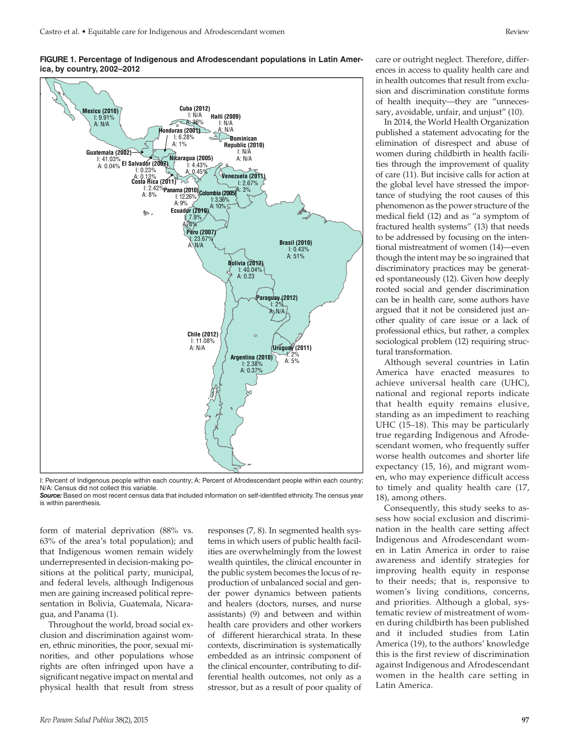

**FIGURE 1. Percentage of Indigenous and Afrodescendant populations in Latin America, by country, 2002–2012**

I: Percent of Indigenous people within each country; A: Percent of Afrodescendant people within each country; N/A: Census did not collect this variable.

*Source:* Based on most recent census data that included information on self-identified ethnicity. The census year is within parenthesis.

form of material deprivation (88% vs. 63% of the area's total population); and that Indigenous women remain widely underrepresented in decision-making positions at the political party, municipal, and federal levels, although Indigenous men are gaining increased political representation in Bolivia, Guatemala, Nicaragua, and Panama (1).

Throughout the world, broad social exclusion and discrimination against women, ethnic minorities, the poor, sexual minorities, and other populations whose rights are often infringed upon have a significant negative impact on mental and physical health that result from stress

responses (7, 8). In segmented health systems in which users of public health facilities are overwhelmingly from the lowest wealth quintiles, the clinical encounter in the public system becomes the locus of reproduction of unbalanced social and gender power dynamics between patients and healers (doctors, nurses, and nurse assistants) (9) and between and within health care providers and other workers of different hierarchical strata. In these contexts, discrimination is systematically embedded as an intrinsic component of the clinical encounter, contributing to differential health outcomes, not only as a stressor, but as a result of poor quality of care or outright neglect. Therefore, differences in access to quality health care and in health outcomes that result from exclusion and discrimination constitute forms of health inequity—they are "unnecessary, avoidable, unfair, and unjust" (10).

In 2014, the World Health Organization published a statement advocating for the elimination of disrespect and abuse of women during childbirth in health facilities through the improvement of quality of care (11). But incisive calls for action at the global level have stressed the importance of studying the root causes of this phenomenon as the power structure of the medical field (12) and as "a symptom of fractured health systems" (13) that needs to be addressed by focusing on the intentional mistreatment of women (14)—even though the intent may be so ingrained that discriminatory practices may be generated spontaneously (12). Given how deeply rooted social and gender discrimination can be in health care, some authors have argued that it not be considered just another quality of care issue or a lack of professional ethics, but rather, a complex sociological problem (12) requiring structural transformation.

Although several countries in Latin America have enacted measures to achieve universal health care (UHC), national and regional reports indicate that health equity remains elusive, standing as an impediment to reaching UHC (15–18). This may be particularly true regarding Indigenous and Afrodescendant women, who frequently suffer worse health outcomes and shorter life expectancy (15, 16), and migrant women, who may experience difficult access to timely and quality health care (17, 18), among others.

Consequently, this study seeks to assess how social exclusion and discrimination in the health care setting affect Indigenous and Afrodescendant women in Latin America in order to raise awareness and identify strategies for improving health equity in response to their needs; that is, responsive to women's living conditions, concerns, and priorities. Although a global, systematic review of mistreatment of women during childbirth has been published and it included studies from Latin America (19), to the authors' knowledge this is the first review of discrimination against Indigenous and Afrodescendant women in the health care setting in Latin America.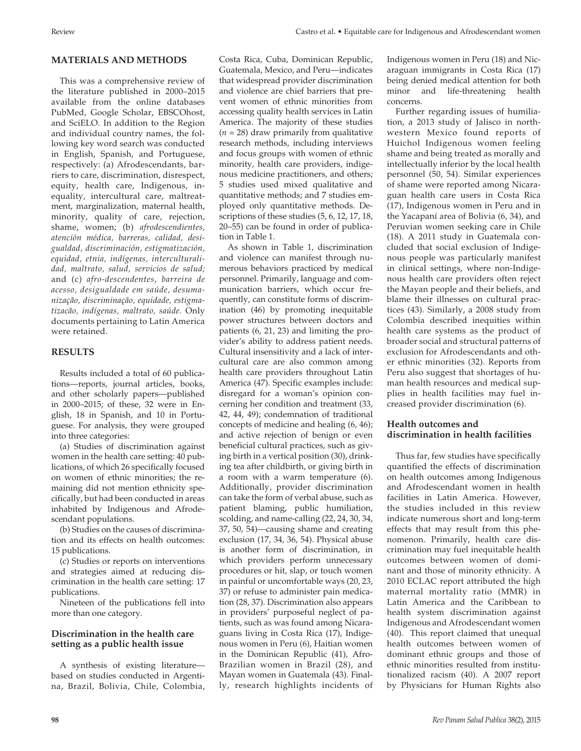## **MATERIALS AND METHODS**

This was a comprehensive review of the literature published in 2000–2015 available from the online databases PubMed, Google Scholar, EBSCOhost, and SciELO. In addition to the Region and individual country names, the following key word search was conducted in English, Spanish, and Portuguese, respectively: (a) Afrodescendants, barriers to care, discrimination, disrespect, equity, health care, Indigenous, inequality, intercultural care, maltreatment, marginalization, maternal health, minority, quality of care, rejection, shame, women; (b) *afrodescendientes, atención médica, barreras, calidad, desigualdad, discriminación, estigmatización, equidad, etnia, indígenas, interculturalidad, maltrato, salud, servicios de salud;*  and (c) *afro-descendentes*, *barreira de acesso, desigualdade em saúde, desumanização, discriminação, equidade, estigmatizacão, indígenas, maltrato, saúde.* Only documents pertaining to Latin America were retained.

## **RESULTS**

Results included a total of 60 publications—reports, journal articles, books, and other scholarly papers—published in 2000–2015; of these, 32 were in English, 18 in Spanish, and 10 in Portuguese. For analysis, they were grouped into three categories:

(a) Studies of discrimination against women in the health care setting: 40 publications, of which 26 specifically focused on women of ethnic minorities; the remaining did not mention ethnicity specifically, but had been conducted in areas inhabited by Indigenous and Afrodescendant populations.

(b) Studies on the causes of discrimination and its effects on health outcomes: 15 publications.

(c) Studies or reports on interventions and strategies aimed at reducing discrimination in the health care setting: 17 publications.

Nineteen of the publications fell into more than one category.

## **Discrimination in the health care setting as a public health issue**

A synthesis of existing literature based on studies conducted in Argentina, Brazil, Bolivia, Chile, Colombia, Costa Rica, Cuba, Dominican Republic, Guatemala, Mexico, and Peru—indicates that widespread provider discrimination and violence are chief barriers that prevent women of ethnic minorities from accessing quality health services in Latin America. The majority of these studies  $(n = 28)$  draw primarily from qualitative research methods, including interviews and focus groups with women of ethnic minority, health care providers, indigenous medicine practitioners, and others; 5 studies used mixed qualitative and quantitative methods; and 7 studies employed only quantitative methods. Descriptions of these studies (5, 6, 12, 17, 18, 20–55) can be found in order of publication in Table 1.

As shown in Table 1, discrimination and violence can manifest through numerous behaviors practiced by medical personnel. Primarily, language and communication barriers, which occur frequently, can constitute forms of discrimination (46) by promoting inequitable power structures between doctors and patients (6, 21, 23) and limiting the provider's ability to address patient needs. Cultural insensitivity and a lack of intercultural care are also common among health care providers throughout Latin America (47). Specific examples include: disregard for a woman's opinion concerning her condition and treatment (33, 42, 44, 49); condemnation of traditional concepts of medicine and healing (6, 46); and active rejection of benign or even beneficial cultural practices, such as giving birth in a vertical position (30), drinking tea after childbirth, or giving birth in a room with a warm temperature (6). Additionally, provider discrimination can take the form of verbal abuse, such as patient blaming, public humiliation, scolding, and name-calling (22, 24, 30, 34, 37, 50, 54)—causing shame and creating exclusion (17, 34, 36, 54). Physical abuse is another form of discrimination, in which providers perform unnecessary procedures or hit, slap, or touch women in painful or uncomfortable ways (20, 23, 37) or refuse to administer pain medication (28, 37). Discrimination also appears in providers' purposeful neglect of patients, such as was found among Nicaraguans living in Costa Rica (17), Indigenous women in Peru (6), Haitian women in the Dominican Republic (41), Afro-Brazilian women in Brazil (28), and Mayan women in Guatemala (43). Finally, research highlights incidents of

Indigenous women in Peru (18) and Nicaraguan immigrants in Costa Rica (17) being denied medical attention for both minor and life-threatening health concerns.

Further regarding issues of humiliation, a 2013 study of Jalisco in northwestern Mexico found reports of Huichol Indigenous women feeling shame and being treated as morally and intellectually inferior by the local health personnel (50, 54). Similar experiences of shame were reported among Nicaraguan health care users in Costa Rica (17), Indigenous women in Peru and in the Yacapaní area of Bolivia (6, 34), and Peruvian women seeking care in Chile (18). A 2011 study in Guatemala concluded that social exclusion of Indigenous people was particularly manifest in clinical settings, where non-Indigenous health care providers often reject the Mayan people and their beliefs, and blame their illnesses on cultural practices (43). Similarly, a 2008 study from Colombia described inequities within health care systems as the product of broader social and structural patterns of exclusion for Afrodescendants and other ethnic minorities (32). Reports from Peru also suggest that shortages of human health resources and medical supplies in health facilities may fuel increased provider discrimination (6).

## **Health outcomes and discrimination in health facilities**

Thus far, few studies have specifically quantified the effects of discrimination on health outcomes among Indigenous and Afrodescendant women in health facilities in Latin America. However, the studies included in this review indicate numerous short and long-term effects that may result from this phenomenon. Primarily, health care discrimination may fuel inequitable health outcomes between women of dominant and those of minority ethnicity. A 2010 ECLAC report attributed the high maternal mortality ratio (MMR) in Latin America and the Caribbean to health system discrimination against Indigenous and Afrodescendant women (40). This report claimed that unequal health outcomes between women of dominant ethnic groups and those of ethnic minorities resulted from institutionalized racism (40). A 2007 report by Physicians for Human Rights also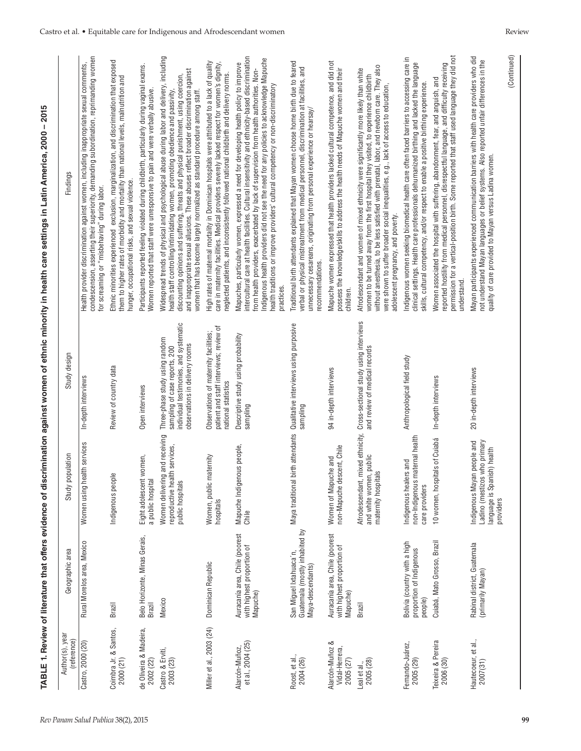|                                                |                                                                                |                                                                                                                  |                                                                                                                                             | rABLE 1. Review of literature that offers evidence of discrimination against women of ethnic minority in health care settings in Latin America, 2000 – 2015                                                                                                                                                                                                                                                                                                                           |
|------------------------------------------------|--------------------------------------------------------------------------------|------------------------------------------------------------------------------------------------------------------|---------------------------------------------------------------------------------------------------------------------------------------------|---------------------------------------------------------------------------------------------------------------------------------------------------------------------------------------------------------------------------------------------------------------------------------------------------------------------------------------------------------------------------------------------------------------------------------------------------------------------------------------|
| Author(s), year<br>(reference)                 | Geographic area                                                                | noitial<br>Study po                                                                                              | Study design                                                                                                                                | Findings                                                                                                                                                                                                                                                                                                                                                                                                                                                                              |
| Castro, 2000 (20)                              | Rural Morelos area, Mexico                                                     | Women using health services                                                                                      | In-depth interviews                                                                                                                         | condescension, asserting their superiority, demanding subordination, reprimanding women<br>Health provider discrimination against women, including inappropriate sexual comments,<br>for screaming or "misbehaving" during labor.                                                                                                                                                                                                                                                     |
| Coimbra Jr. & Santos,<br>2000 (21)             | Brazil                                                                         | $\mathbf{\underline{\omega}}$<br>Indigenous peopl                                                                | Review of country data                                                                                                                      | Ethnic minorities experienced exclusion, marginalization, and discrimination that exposed<br>them to higher rates of morbidity and mortality than national levels, malnutrition and<br>hunger, occupational risks, and sexual violence.                                                                                                                                                                                                                                               |
| de Oliveira & Madeira,<br>2002 (22)            | Belo Horizonte, Minas Gerais,<br>Brazil                                        | women,<br>a public hospital<br>Eight adolescent                                                                  | Open interviews                                                                                                                             | Participants reported feeling violated during childbirth, particularly during vaginal exams.<br>Women reported that staff were unresponsive to pain and were verbally abusive.                                                                                                                                                                                                                                                                                                        |
| Castro & Erviti,<br>2003 (23)                  | Mexico                                                                         | Women delivering and receiving<br>reproductive health services,<br>public hospitals                              | individual testimonies, and systematic<br>Three-phase study using random<br>observations in delivery rooms<br>sampling of case reports, 200 | Widespread trends of physical and psychological abuse during labor and delivery, including<br>and inappropriate sexual allusions. These abuses reflect broader discrimination against<br>discounting opinions and suffering, threats and physical punishment, using coercion,<br>women that has become largely normalized as standard procedure among staff.<br>health staff controlling/intimidating women, promoting obedience and passivity,                                       |
| Miller et al., 2003 (24)                       | Dominican Republic                                                             | naternity<br>Women, public m<br>hospitals                                                                        | patient and staff interviews; review of<br>Observations of maternity facilities;<br>national statistics                                     | High rates of maternal mortality in Dominican hospitals were attributed to a lack of quality<br>care in maternity facilities. Medical providers severely lacked respect for women's dignity,<br>neglected patients, and inconsistently followed national childbirth and delivery norms.                                                                                                                                                                                               |
| et al., 2004 (25)<br>Alarcón-Muñoz,            | Auracanía area, Chile (poorest<br>with highest proportion of<br>Mapuche)       | Mapuche Indigenous people,<br>Chile                                                                              | Descriptive study using probability<br>sampling                                                                                             | Mapuches, particularly women, expressed a need for developing health policy to improve<br>intercultural care at health facilities. Cultural insensitivity and ethnicity-based discrimination<br>Indigenous health providers did not see the need for any policies to acknowledge Mapuche<br>health traditions or improve providers' cultural competency or non-discriminatory<br>from health providers, exacerbated by lack of supervision from health authorities. Non<br>practices. |
| Roost, et al.,<br>2004 (26)                    | Guatemala (mostly inhabited by<br>San Miguel Ixtahuaca'n,<br>Maya-descendants) | Maya traditional                                                                                                 | birth attendants Qualitative interviews using purposive<br>sampling                                                                         | Traditional birth attendants explained that Mayan women choose home birth due to feared<br>verbal or physical mistreatment from medical personnel, discrimination at facilities, and<br>unnecessary cesareans, originating from personal experience or hearsay/<br>recommendations.                                                                                                                                                                                                   |
| Alarcón-Muñoz &<br>Vidal-Herrera,<br>2005 (27) | Auracanía area, Chile (poorest<br>with highest proportion of<br>Mapuche)       | non-Mapuche descent, Chile<br>Women of Mapuche and                                                               | 94 in-depth interviews                                                                                                                      | Mapuche women expressed that health providers lacked cultural competence, and did not<br>possess the knowledge/skills to address the health needs of Mapuche women and their<br>children.                                                                                                                                                                                                                                                                                             |
| 2005 (28)<br>Leal et al.,                      | <b>Brazil</b>                                                                  | and white women, public<br>maternity hospitals<br>Afrodescendant,                                                | mixed ethnicity, Cross-sectional study using interviews<br>and review of medical records                                                    | without anesthesia, to be less satisfied with prenatal, labor, and newborn care. They also<br>Afrodescendant and women of mixed ethnicity were significantly more likely than white<br>women to be turned away from the first hospital they visited, to experience childbirth<br>were shown to suffer broader social inequalities, e.g., lack of access to education,<br>adolescent pregnancy, and poverty.                                                                           |
| Fernando-Juárez,<br>2005 (29)                  | Bolivia (country with a high<br>proportion of Indigenous<br>people)            | non-Indigenous maternal health<br>Indigenous healers and<br>care providers                                       | Anthropological field study                                                                                                                 | Indigenous women seeking biomedical health care often faced barriers to accessing care in<br>clinical settings. Health care professionals dehumanized birthing and lacked the language<br>skills, cultural competency, and/or respect to enable a positive birthing experience.                                                                                                                                                                                                       |
| Teixeira & Pereira<br>2006 (30)                | Cuiabá, Mato Grosso, Brazil                                                    | 10 women, hospitals of Cuiabá                                                                                    | In-depth interviews                                                                                                                         | Women associated the hospital with suffering, abandonment, fear, and anguish, and<br>reported hostility from medical personnel, disrespectful language, and difficulty receiving<br>permission for a vertical-position birth. Some r<br>understand.                                                                                                                                                                                                                                   |
| Hautecoeur, et al.,<br>2007(31)                | Rabinal district, Guatemala<br>(primarily Mayan)                               | Ladino (mestizos who primary<br>in people and<br>ish) health<br>Indigenous Maya<br>language is Span<br>providers | 20 in-depth interviews                                                                                                                      | Mayan participants experienced communication barriers with health care providers who did<br>not understand Mayan languages or belief systems. Also reported unfair differences in the<br>quality of care provided to Mayan versus Ladina women.                                                                                                                                                                                                                                       |
|                                                |                                                                                |                                                                                                                  |                                                                                                                                             | (Continued)                                                                                                                                                                                                                                                                                                                                                                                                                                                                           |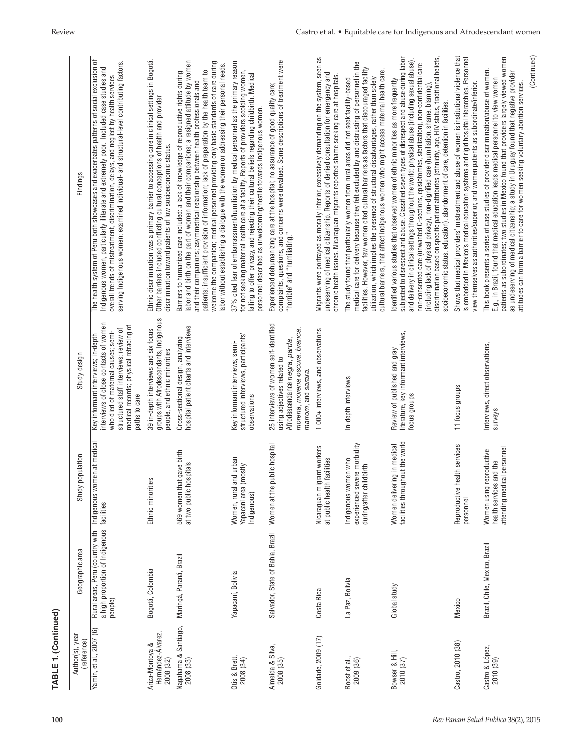| <b>FABLE 1. (Continued)</b>                        |                                                                                                      |                                                                                    |                                                                                                                                                                                                                        |                                                                                                                                                                                                                                                                                                                                                                                                                                                                                                                                                                                                                                                                                   |
|----------------------------------------------------|------------------------------------------------------------------------------------------------------|------------------------------------------------------------------------------------|------------------------------------------------------------------------------------------------------------------------------------------------------------------------------------------------------------------------|-----------------------------------------------------------------------------------------------------------------------------------------------------------------------------------------------------------------------------------------------------------------------------------------------------------------------------------------------------------------------------------------------------------------------------------------------------------------------------------------------------------------------------------------------------------------------------------------------------------------------------------------------------------------------------------|
| Author(s), year<br>(reference)                     | Geographic area                                                                                      | noitian<br>Study po                                                                | Study design                                                                                                                                                                                                           | Findings                                                                                                                                                                                                                                                                                                                                                                                                                                                                                                                                                                                                                                                                          |
| Yamin, et al., 2007 (6)                            | Rural areas, Peru (country with   Indigeno<br>a high proportion of Indigenous  facilities<br>people) | Indigenous women at medical                                                        | interviews of close contacts of women<br>medical records; physical retracing of<br>structured staff interviews; review of<br>who died of maternal causes; semi-<br>Key informant interviews; in-depth<br>paths to care | The health system of Peru both showcases and exacerbates patterns of social exclusion of<br>overall trends of mistreatment, discrimination, delays, and neglect by health services<br>serving Indigenous women; examined individual- and structural-level contributing factors.<br>Indigenous women, particularly illiterate and extremely poor. Included case studies and                                                                                                                                                                                                                                                                                                        |
| Hernández-Álvarez,<br>Ariza-Montoya &<br>2008 (32) | Bogotá, Colombia                                                                                     | Ethnic minorities                                                                  | groups with Afrodescendants, Indigenous<br>39 in-depth interviews and six focus<br>people, and ethnic minorities                                                                                                       | Ethnic discrimination was a primary barrier to accessing care in clinical settings in Bogotá.<br>Other barriers included conflicting cultural conceptions of health and provider<br>discrimination toward patients of low socioeconomic status.                                                                                                                                                                                                                                                                                                                                                                                                                                   |
| Nagahama & Santiago,<br>2008 (33)                  | Maringá, Paraná, Brazil                                                                              | gave birth<br>at two public hospitals<br>569 women that                            | hospital patient charts and interviews<br>Cross-sectional design, analyzing                                                                                                                                            | labor and birth on the part of women and their companions; a resigned attitude by women<br>welcome the companion; medical personnel providing only basic standards of care during<br>abor without establishing a dialogue with the women or addressing their personal needs.<br>patients; insufficient provision of information; lack of preparation by the health team to<br>Barriers to humanized care included: a lack of knowledge of reproductive rights during<br>and their companions; asymmetrical relationship between health professionals and                                                                                                                          |
| Otis & Brett,<br>2008 (34)                         | Yapacaní, Bolivia                                                                                    | Women, rural and urban<br>Yapacaní area (mostly<br>Indigenous)                     | structured interviews, participants'<br>Key informant interviews, semi-<br>observations                                                                                                                                | 37% cited fear of embarrassment/humiliation by medical personnel as the primary reason<br>for not seeking maternal health care at a facility. Reports of providers scolding women,<br>failing to offer privacy, and rejecting their cultural beliefs regarding childbirth. Medical<br>personnel described as unwelcoming/hostile towards Indigenous women.                                                                                                                                                                                                                                                                                                                        |
| Almeida & Silva,<br>2008 (35)                      | Salvador, State of Bahia, Brazil                                                                     | Women at the public hospital                                                       | 25 interviews of women self-identified<br>morena, morena oscura, branca,<br>Afrodescendance negra, parda,<br>using adjectives related to<br>marrom, and sarara.                                                        | complaints, questions, and concerns were devalued. Some descriptions of treatment were<br>"horrible" and "humiliating."<br>Experienced dehumanizing care at the hospital; no assurance of good quality care;                                                                                                                                                                                                                                                                                                                                                                                                                                                                      |
| Goldade, 2009 (17)                                 | Costa Rica                                                                                           | Nicaraguan migrant workers<br>at public health facilities                          | 1000+ interviews, and observations                                                                                                                                                                                     | Migrants were portrayed as morally inferior, excessively demanding on the system, seen as<br>undeserving of medical citizenship. Reports of denied consultation for emergency and<br>chronic health issues. Nicaraguan migrants reported shame seeking care at hospitals.                                                                                                                                                                                                                                                                                                                                                                                                         |
| Roost et al.,<br>2009 (36)                         | La Paz, Bolivia                                                                                      | experienced severe morbidity<br>Indigenous women who<br>during/after childbirth    | In-depth interviews                                                                                                                                                                                                    | medical care for delivery because they felt excluded by and distrusting of personnel in the<br>facilities. However, few women cited cultural barriers as factors that discouraged facility<br>cultural barriers, that affect Indigenous women who might access maternal health care.<br>utilization, which implies the presence of structural disadvantages, rather than solely<br>The study found that particularly women from rural areas did not seek facility-based                                                                                                                                                                                                           |
| Bowser & Hill,<br>2010 (37)                        | Global study                                                                                         | Women delivering in medical<br>facilities throughout the world                     | literature, key informant interviews,<br>Review of published and gray<br>focus groups                                                                                                                                  | subjected to disrespect and abuse. Classified seven types of disrespect and abuse during labor<br>discrimination based on specific patient attributes (ethnicity, age, HIV status, traditional beliefs,<br>and delivery in clinical settings throughout the world: physical abuse (including sexual abuse),<br>non-consented care (unwanted C-sections, episiotomies, sterilization), non-confidential care<br>dentified various studies that observed women of ethnic minorities as more frequently<br>(including lack of physical privacy), non-dignified care (humiliation, shame, blaming)<br>socioeconomic status, education), abandonment of care, detention in facilities. |
| Castro, 2010 (38)                                  | Mexico                                                                                               | Reproductive health services<br>personnel                                          | 11 focus groups                                                                                                                                                                                                        | Shows that medical providers' mistreatment and abuse of women is institutional violence that<br>is embedded in Mexico's medical education systems and rigid hospital hierarchies. Personnel<br>view themselves as authorities/superior, and women patients as subordinate/inferior.                                                                                                                                                                                                                                                                                                                                                                                               |
| Castro & López,<br>2010 (39)                       | Brazil, Chile, Mexico, Brazil                                                                        | attending medical personnel<br>Women using reproductive<br>health services and the | Interviews, direct observations,<br>surveys                                                                                                                                                                            | patients as subordinates; two studies in Mexico found that providers largely viewed women<br>This book presents a series of case studies of provider discrimination/abuse of women.<br>as undeserving of medical citizenship; a study in Uruguay found that negative provider<br>attitudes can form a barrier to care for women seeking voluntary abortion services.<br>E.g., in Brazil, found that medical education leads medical personnel to view women                                                                                                                                                                                                                       |
|                                                    |                                                                                                      |                                                                                    |                                                                                                                                                                                                                        | (Continued)                                                                                                                                                                                                                                                                                                                                                                                                                                                                                                                                                                                                                                                                       |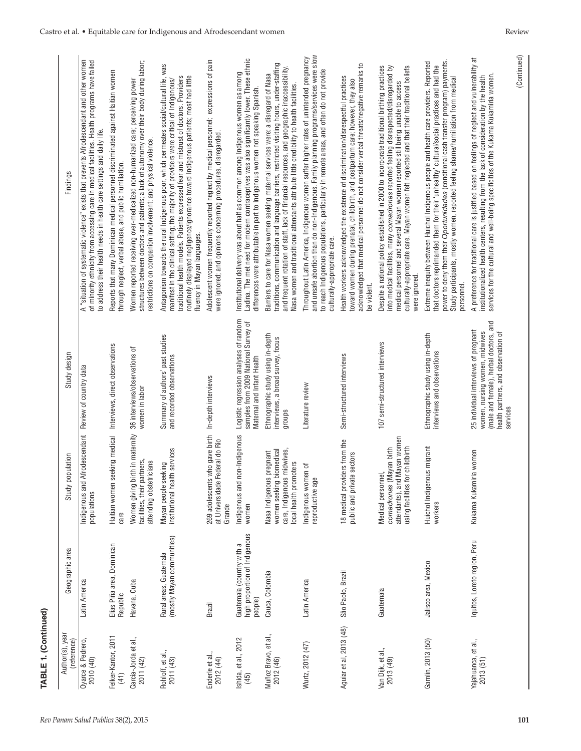| TABLE 1. (Continued)              |                                                                       |                                                                                                                     |                                                                                                                                                                     |                                                                                                                                                                                                                                                                                                                                                                                                     |
|-----------------------------------|-----------------------------------------------------------------------|---------------------------------------------------------------------------------------------------------------------|---------------------------------------------------------------------------------------------------------------------------------------------------------------------|-----------------------------------------------------------------------------------------------------------------------------------------------------------------------------------------------------------------------------------------------------------------------------------------------------------------------------------------------------------------------------------------------------|
| Author(s), year<br>(reference)    | Geographic area                                                       | Study population                                                                                                    | Study design                                                                                                                                                        | Findings                                                                                                                                                                                                                                                                                                                                                                                            |
| Oyarce & Pedrero,<br>2010 (40)    | Latin America                                                         | Indigenous and<br>populations                                                                                       | Afrodescendant Review of country data                                                                                                                               | A "situation of systematic violence" exists that prevents Afrodescendant and other women<br>of minority ethnicity from accessing care in medical facilities. Health programs have failed<br>to address their health needs in health care settings and daily life.                                                                                                                                   |
| Felker-Kantor, 2011<br>(41)       | Elías Piña area, Dominican<br>Republic                                | Haitian women seeking medical<br>care                                                                               | Interviews, direct observations                                                                                                                                     | Reports that many Dominican medical personnel discriminated against Haitian women<br>through neglect, verbal abuse, and public humiliation.                                                                                                                                                                                                                                                         |
| García-Jorda et al.,<br>2011 (42) | Havana, Cuba                                                          | Women giving birth in maternity<br>facilities, their partners,<br>attending obstetricians                           | 36 interviews/observations of<br>women in labor                                                                                                                     | structures between doctors and patients; a lack of autonomy over their body during labor;<br>Women reported receiving over-medicalized non-humanized care; perceiving power<br>restrictions on companion involvement; and physical violence.                                                                                                                                                        |
| Rohloff, et al.,<br>2011 (43)     | Rural areas, Guatemala<br>(mostly Mayan communities)                  | Mayan people seeking<br>institutional health services                                                               | Summary of authors' past studies<br>and recorded observations                                                                                                       | Antagonism towards the rural Indigenous poor, which permeates social/cultural life, was<br>traditional health models. Patients expressed fear and mistrust of doctors. Providers<br>routinely displayed negligence/ignorance toward Indigenous patients; most had little<br>manifest in the clinical setting; the majority of providers were critical of Indigenous/<br>fluency in Mayan languages. |
| Enderle et al.,<br>2012 (44)      | Brazil                                                                | 269 adolescents who gave birth<br>Federal do Rio<br>at Universidade<br>Grande                                       | In-depth interviews                                                                                                                                                 | Adolescent women frequently reported neglect by medical personnel; expressions of pain<br>were ignored; and opinions concerning procedures, disregarded.                                                                                                                                                                                                                                            |
| shida, et al., 2012<br>(45)       | high proportion of Indigenous<br>Guatemala (country with a<br>people) | non-Indigenous<br>Indigenous and<br>women                                                                           | Logistic regression analyses of random<br>samples from 2009 National Survey of<br>Maternal and Infant Health                                                        | Ladina. The met need for modern contraceptives was also significantly lower. These ethnic<br>Institutional delivery was about half as common among Indigenous women as among<br>differences were attributable in part to Indigenous women not speaking Spanish.                                                                                                                                     |
| Muñoz Bravo, et al.,<br>2012 (46) | Cauca, Colombia                                                       | care, Indigenous midwives,<br>women seeking biomedical<br>Nasa Indigenous pregnant<br>local health promoters        | Ethnographic study using in-depth<br>interviews, a broad survey, focus<br>groups                                                                                    | traditions, communication and language barriers, restricted visiting hours, under-staffing<br>and frequent rotation of staff, lack of financial resources, and geographic inaccessibility.<br>Barriers to care for Nasa women seeking maternal services were: a disregard of Nasa<br>Nasa women and traditional attendants attribute little credibility to health facilities.                       |
| Wurtz, 2012 (47)                  | Latin America                                                         | Indigenous women of<br>reproductive age                                                                             | Literature review                                                                                                                                                   | and unsafe abortion than do non-Indigenous. Family planning programs/services were slow<br>Throughout Latin America, Indigenous women suffer higher rates of unintended pregnancy<br>to reach Indigenous populations, particularly in remote areas, and often do not provide<br>culturally-appropriate care.                                                                                        |
| Aguiar et al, 2013 (48)           | São Paolo, Brazil                                                     | 18 medical providers from the<br>public and private sectors                                                         | Semi-structured interviews                                                                                                                                          | acknowledged that medical personnel do not consider verbal threats/negative remarks to<br>Health workers acknowledged the existence of discrimination/disrespectful practices<br>toward women during prenatal, childbirth, and postpartum care; however, they also<br>be violent.                                                                                                                   |
| Van Dijk, et al.,<br>2013 (49)    | Guatemala                                                             | Mayan women<br>using facilities for childbirth<br>comadronas (Mayan birth<br>Medical personnel,<br>attendants), and | 107 semi-structured interviews                                                                                                                                      | Despite a national policy established in 2000 to incorporate traditional birthing practices<br>medical personnel and several Mayan women reported still being unable to access<br>culturally-appropriate care. Mayan women felt neglected and that their traditional beliefs<br>into medical facilities, many comadronas reported feeling disrespected/disregarded by<br>were ignored.              |
| Gamlin, 2013 (50)                 | Jalisco area, Mexico                                                  | Huichol Indigenous migrant<br>workers                                                                               | Ethnographic study using in-depth<br>interviews and observations                                                                                                    | power to deny them their Oportunidades (conditional cash transfer program) payments.<br>Extreme inequity between Huichol Indigenous people and health care providers. Reported<br>that doctors reprimanded them for their 'unhealthy' cultural/social practices and had the<br>Study participants, mostly women, reported feeling shame/humiliation from medical<br>personnel.                      |
| Yajahuanca, et al.,<br>2013 (51)  | Iquitos, Loreto region, Peru                                          | Kukama Kukamiria women                                                                                              | (male and female), herbal doctors, and<br>25 individual interviews of pregnant<br>health partners, and observation of<br>women, nursing women, midwives<br>services | (Continued)<br>A preference for traditional care is justified based on feelings of neglect and vulnerability at<br>services for the cultural and well-being specificities of the Kukama Kukamiria women.<br>institutionalized health centers, resulting from the lack of consideration by the health                                                                                                |
|                                   |                                                                       |                                                                                                                     |                                                                                                                                                                     |                                                                                                                                                                                                                                                                                                                                                                                                     |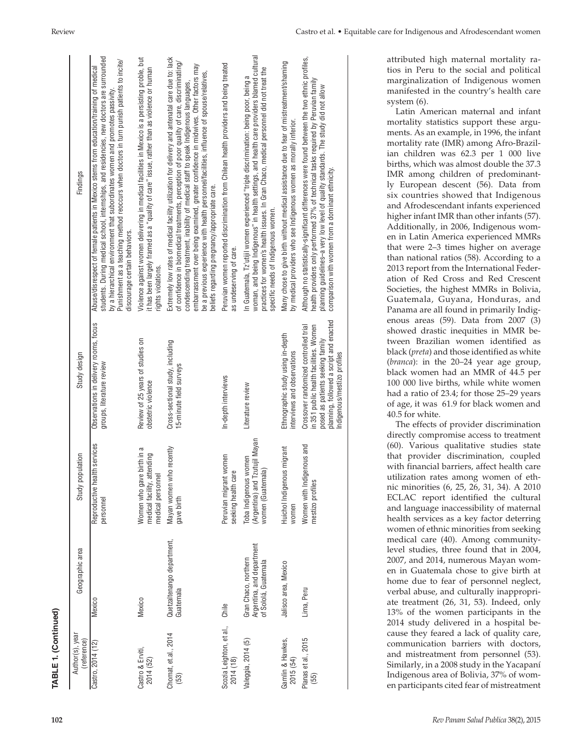| TABLE 1. (Continued)                  |                                                                           |                                                                               |                                                                                                                                                                                               |                                                                                                                                                                                                                                                                                                                                                                                                                                                                                                                             |
|---------------------------------------|---------------------------------------------------------------------------|-------------------------------------------------------------------------------|-----------------------------------------------------------------------------------------------------------------------------------------------------------------------------------------------|-----------------------------------------------------------------------------------------------------------------------------------------------------------------------------------------------------------------------------------------------------------------------------------------------------------------------------------------------------------------------------------------------------------------------------------------------------------------------------------------------------------------------------|
| Author(s), year<br>(reference)        | Geographic area                                                           | Study population                                                              | Study design                                                                                                                                                                                  | Findings                                                                                                                                                                                                                                                                                                                                                                                                                                                                                                                    |
| Castro, 2014 (12)                     | <b>Mexico</b>                                                             | Reproductive health services<br>personnel                                     | Observations in delivery rooms, focus<br>groups, literature review                                                                                                                            | students. During medical school, internships, and residencies, new doctors are surrounded<br>Punishment as a teaching method reoccurs when doctors in turn punish patients to incite/<br>Abuse/disrespect of female patients in Mexico stems from education/training of medical<br>by a hierarchical environment that subordinates women and promotes passivity<br>discourage certain behaviors.                                                                                                                            |
| Castro & Erviti,<br>2014 (52)         | Mexico                                                                    | Women who gave birth in a<br>medical facility, attending<br>medical personnel | Review of 25 years of studies on<br>obstetric violence                                                                                                                                        | Violence against women delivering in medical facilities in Mexico is a persisting proble, but<br>it has been largely framed as a "quality of care" issue, rather than as violence or human<br>rights violations.                                                                                                                                                                                                                                                                                                            |
| Chomat, et.al., 2014<br>(53)          | Quetzaltenango department,<br>Guatemala                                   | Mayan women who recently<br>gave birth                                        | Cross-sectional study, including<br>15-minute field surveys                                                                                                                                   | Extremely low rates of medical facility utilization for delivery and antenatal care due to: lack<br>of confidence in biomedical treatments, perception of poor quality of care, discriminating/<br>embarrassment over being examined, greater confidence in midwives. Other factors may<br>be a previous experience with health personnel/facilities, influence of spouse/relatives,<br>condescending treatment, inability of medical staff to speak Indigenous languages,<br>beliefs regarding pregnancy/appropriate care. |
| Scozia Leighton, et al.,<br>2014 (18) | Chile                                                                     | Peruvian migrant women<br>seeking health care                                 | In-depth interviews                                                                                                                                                                           | Peruvian women reported discrimination from Chilean health providers and being treated<br>as undeserving of care.                                                                                                                                                                                                                                                                                                                                                                                                           |
| Valeggia, 2014 (5)                    | Argentina, and department<br>Gran Chaco, northern<br>of Sololá, Guatemala | Toba Indigenous women<br>(Argentina) and Tzutujil Mayan<br>women (Guatemala)  | Literature review                                                                                                                                                                             | woman, and being Indigenous" in health settings, and health care providers blamed cultural<br>practices for women's health issues. In Gran Chaco, medical personnel did not treat the<br>In Guatemala, Tz'utijil women experienced "triple discrimination: being poor, being a<br>specific needs of Indigenous women.                                                                                                                                                                                                       |
| Gamlin & Hawkes,<br>2015 (54)         | Jalisco area, Mexico                                                      | Huichol Indigenous migrant<br>women                                           | Ethnographic study using in-depth<br>interviews and observations                                                                                                                              | Many chose to give birth without medical assistance due to fear of mistreatment/shaming<br>by medical providers who see Indigenous women as morally inferior.                                                                                                                                                                                                                                                                                                                                                               |
| Planas et al., 2015<br>(55)           | Lima, Peru                                                                | Women with Indigenous and<br>mestizo profiles                                 | planning, followed a script and enacted<br>Crossover randomized controlled trial<br>in 351 public health facilities. Women<br>posed as patients seeking family<br>Indigenous/mestizo profiles | Although no statistically-significant differences were found between the two ethnic profiles,<br>health providers only performed 37% of technical tasks required by Peruvian family<br>planning guidelines-a very low level of quality standards. The study did not allow<br>comparison with women from a dominant ethnicity.                                                                                                                                                                                               |
|                                       |                                                                           |                                                                               |                                                                                                                                                                                               |                                                                                                                                                                                                                                                                                                                                                                                                                                                                                                                             |

Review Castro et al. • Equitable care for Indigenous and Afrodescendant women

attributed high maternal mortality ra tios in Peru to the social and political marginalization of Indigenous women manifested in the country's health care system (6).

Latin American maternal and infant mortality statistics support these argu ments. As an example, in 1996, the infant mortality rate (IMR) among Afro-Brazil ian children was 62.3 per 1 000 live births, which was almost double the 37.3 IMR among children of predominantly European descent (56). Data from six countries showed that Indigenous and Afrodescendant infants experienced higher infant IMR than other infants (57). Additionally, in 2006, Indigenous wom en in Latin America experienced MMRs that were 2–3 times higher on average than national ratios (58). According to a 2013 report from the International Feder ation of Red Cross and Red Crescent Societies, the highest MMRs in Bolivia, Guatemala, Guyana, Honduras, and Panama are all found in primarily Indig enous areas (59). Data from 2007 (3) showed drastic inequities in MMR be tween Brazilian women identified as black (*preta*) and those identified as white (*branca*): in the 20–24 year age group, black women had an MMR of 44.5 per 100 000 live births, while white women had a ratio of 23.4; for those 25–29 years of age, it was 61.9 for black women and 40.5 for white.

The effects of provider discrimination directly compromise access to treatment (60). Various qualitative studies state that provider discrimination, coupled with financial barriers, affect health care utilization rates among women of ethnic minorities (6, 25, 26, 31, 34). A 2010 ECLAC report identified the cultural and language inaccessibility of maternal health services as a key factor deterring women of ethnic minorities from seeking medical care (40). Among communitylevel studies, three found that in 2004, 2007, and 2014, numerous Mayan wom en in Guatemala chose to give birth at home due to fear of personnel neglect, verbal abuse, and culturally inappropri ate treatment (26, 31, 53). Indeed, only 13% of the women participants in the 2014 study delivered in a hospital be cause they feared a lack of quality care, communication barriers with doctors, and mistreatment from personnel (53). Similarly, in a 2008 study in the Yacapaní Indigenous area of Bolivia, 37% of wom en participants cited fear of mistreatment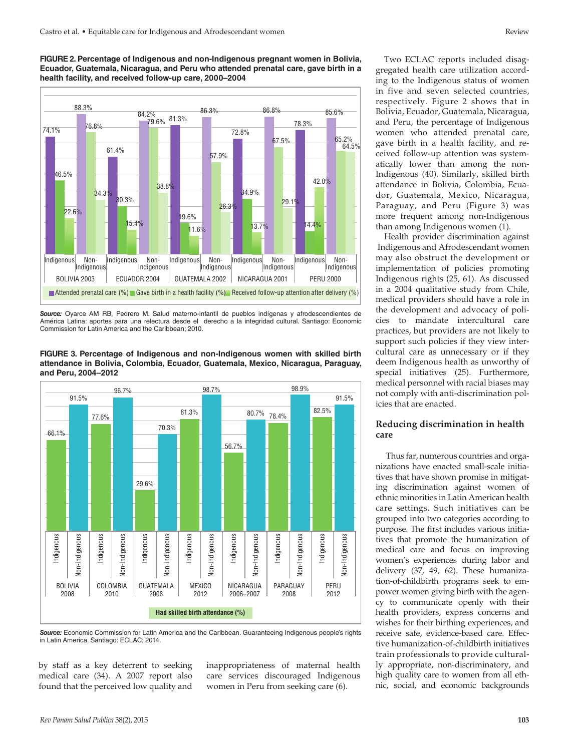**FIGURE 2. Percentage of Indigenous and non-Indigenous pregnant women in Bolivia, Ecuador, Guatemala, Nicaragua, and Peru who attended prenatal care, gave birth in a health facility, and received follow-up care, 2000–2004**



*Source:* Oyarce AM RB, Pedrero M. Salud materno-infantil de pueblos indígenas y afrodescendientes de América Latina: aportes para una relectura desde el derecho a la integridad cultural. Santiago: Economic Commission for Latin America and the Caribbean; 2010.





*Source:* Economic Commission for Latin America and the Caribbean. Guaranteeing Indigenous people's rights in Latin America. Santiago: ECLAC; 2014.

by staff as a key deterrent to seeking medical care (34). A 2007 report also found that the perceived low quality and inappropriateness of maternal health care services discouraged Indigenous women in Peru from seeking care (6).

Two ECLAC reports included disaggregated health care utilization according to the Indigenous status of women in five and seven selected countries, respectively. Figure 2 shows that in Bolivia, Ecuador, Guatemala, Nicaragua, and Peru, the percentage of Indigenous women who attended prenatal care, gave birth in a health facility, and received follow-up attention was systematically lower than among the non-Indigenous (40). Similarly, skilled birth attendance in Bolivia, Colombia, Ecuador, Guatemala, Mexico, Nicaragua, Paraguay, and Peru (Figure 3) was more frequent among non-Indigenous than among Indigenous women (1).

Health provider discrimination against Indigenous and Afrodescendant women may also obstruct the development or implementation of policies promoting Indigenous rights (25, 61). As discussed in a 2004 qualitative study from Chile, medical providers should have a role in the development and advocacy of policies to mandate intercultural care practices, but providers are not likely to support such policies if they view intercultural care as unnecessary or if they deem Indigenous health as unworthy of special initiatives (25). Furthermore, medical personnel with racial biases may not comply with anti-discrimination policies that are enacted.

## **Reducing discrimination in health care**

 Thus far, numerous countries and organizations have enacted small-scale initiatives that have shown promise in mitigating discrimination against women of ethnic minorities in Latin American health care settings. Such initiatives can be grouped into two categories according to purpose. The first includes various initiatives that promote the humanization of medical care and focus on improving women's experiences during labor and delivery (37, 49, 62). These humanization-of-childbirth programs seek to empower women giving birth with the agency to communicate openly with their health providers, express concerns and wishes for their birthing experiences, and receive safe, evidence-based care. Effective humanization-of-childbirth initiatives train professionals to provide culturally appropriate, non-discriminatory, and high quality care to women from all ethnic, social, and economic backgrounds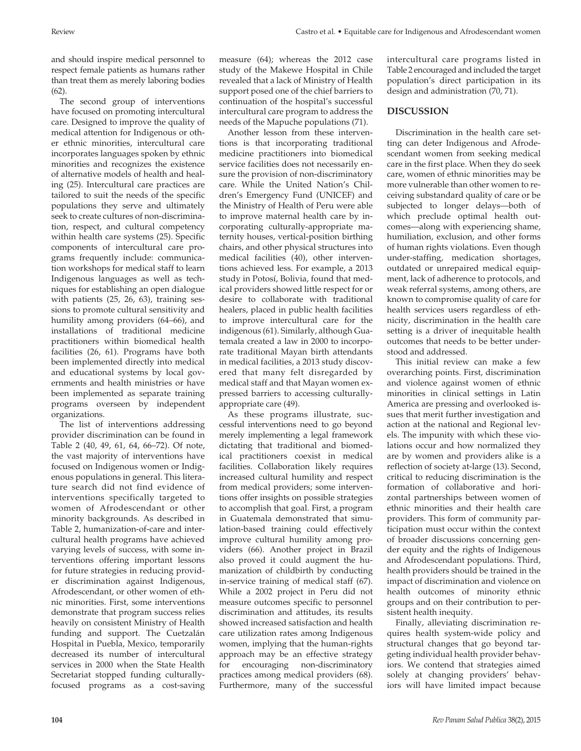and should inspire medical personnel to respect female patients as humans rather than treat them as merely laboring bodies  $(62)$ .

The second group of interventions have focused on promoting intercultural care. Designed to improve the quality of medical attention for Indigenous or other ethnic minorities, intercultural care incorporates languages spoken by ethnic minorities and recognizes the existence of alternative models of health and healing (25). Intercultural care practices are tailored to suit the needs of the specific populations they serve and ultimately seek to create cultures of non-discrimination, respect, and cultural competency within health care systems (25). Specific components of intercultural care programs frequently include: communication workshops for medical staff to learn Indigenous languages as well as techniques for establishing an open dialogue with patients (25, 26, 63), training sessions to promote cultural sensitivity and humility among providers (64–66), and installations of traditional medicine practitioners within biomedical health facilities (26, 61). Programs have both been implemented directly into medical and educational systems by local governments and health ministries or have been implemented as separate training programs overseen by independent organizations.

The list of interventions addressing provider discrimination can be found in Table 2 (40, 49, 61, 64, 66–72). Of note, the vast majority of interventions have focused on Indigenous women or Indigenous populations in general. This literature search did not find evidence of interventions specifically targeted to women of Afrodescendant or other minority backgrounds. As described in Table 2, humanization-of-care and intercultural health programs have achieved varying levels of success, with some interventions offering important lessons for future strategies in reducing provider discrimination against Indigenous, Afrodescendant, or other women of ethnic minorities. First, some interventions demonstrate that program success relies heavily on consistent Ministry of Health funding and support. The Cuetzalán Hospital in Puebla, Mexico, temporarily decreased its number of intercultural services in 2000 when the State Health Secretariat stopped funding culturallyfocused programs as a cost-saving

Another lesson from these interventions is that incorporating traditional medicine practitioners into biomedical service facilities does not necessarily ensure the provision of non-discriminatory care. While the United Nation's Children's Emergency Fund (UNICEF) and the Ministry of Health of Peru were able to improve maternal health care by incorporating culturally-appropriate maternity houses, vertical-position birthing chairs, and other physical structures into medical facilities (40), other interventions achieved less. For example, a 2013 study in Potosí, Bolivia, found that medical providers showed little respect for or desire to collaborate with traditional healers, placed in public health facilities to improve intercultural care for the indigenous (61). Similarly, although Guatemala created a law in 2000 to incorporate traditional Mayan birth attendants in medical facilities, a 2013 study discovered that many felt disregarded by medical staff and that Mayan women expressed barriers to accessing culturallyappropriate care (49).

As these programs illustrate, successful interventions need to go beyond merely implementing a legal framework dictating that traditional and biomedical practitioners coexist in medical facilities. Collaboration likely requires increased cultural humility and respect from medical providers; some interventions offer insights on possible strategies to accomplish that goal. First, a program in Guatemala demonstrated that simulation-based training could effectively improve cultural humility among providers (66). Another project in Brazil also proved it could augment the humanization of childbirth by conducting in-service training of medical staff (67). While a 2002 project in Peru did not measure outcomes specific to personnel discrimination and attitudes, its results showed increased satisfaction and health care utilization rates among Indigenous women, implying that the human-rights approach may be an effective strategy for encouraging non-discriminatory practices among medical providers (68). Furthermore, many of the successful

intercultural care programs listed in Table 2 encouraged and included the target population's direct participation in its design and administration (70, 71).

## **DISCUSSION**

Discrimination in the health care setting can deter Indigenous and Afrodescendant women from seeking medical care in the first place. When they do seek care, women of ethnic minorities may be more vulnerable than other women to receiving substandard quality of care or be subjected to longer delays—both of which preclude optimal health outcomes—along with experiencing shame, humiliation, exclusion, and other forms of human rights violations. Even though under-staffing, medication shortages, outdated or unrepaired medical equipment, lack of adherence to protocols, and weak referral systems, among others, are known to compromise quality of care for health services users regardless of ethnicity, discrimination in the health care setting is a driver of inequitable health outcomes that needs to be better understood and addressed.

This initial review can make a few overarching points. First, discrimination and violence against women of ethnic minorities in clinical settings in Latin America are pressing and overlooked issues that merit further investigation and action at the national and Regional levels. The impunity with which these violations occur and how normalized they are by women and providers alike is a reflection of society at-large (13). Second, critical to reducing discrimination is the formation of collaborative and horizontal partnerships between women of ethnic minorities and their health care providers. This form of community participation must occur within the context of broader discussions concerning gender equity and the rights of Indigenous and Afrodescendant populations. Third, health providers should be trained in the impact of discrimination and violence on health outcomes of minority ethnic groups and on their contribution to persistent health inequity.

Finally, alleviating discrimination requires health system-wide policy and structural changes that go beyond targeting individual health provider behaviors. We contend that strategies aimed solely at changing providers' behaviors will have limited impact because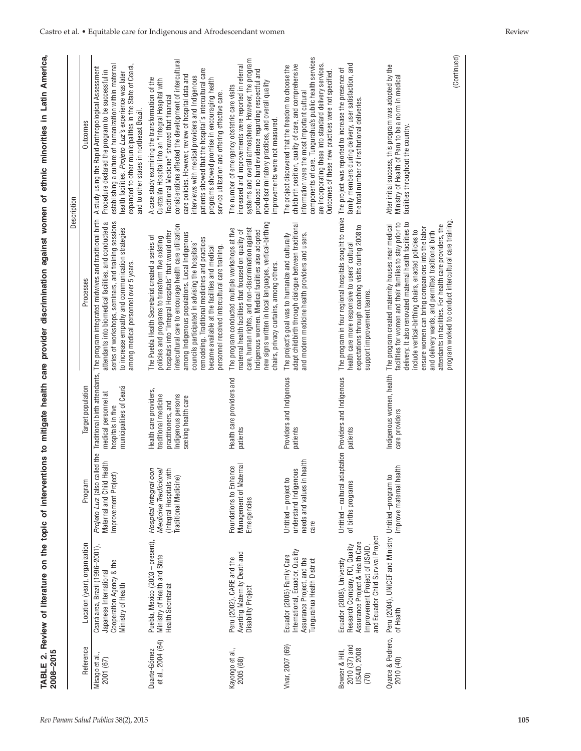| 2008-2015                                                     |                                                                                                                                                                        |                                                                                                              |                                                                                                                   |                                                                                                                                                                                                                                                                                                                                                                                                                                                                                        | Description                                                                                                                                                                                                                                                                                                                                                                                                                                                                                 |
|---------------------------------------------------------------|------------------------------------------------------------------------------------------------------------------------------------------------------------------------|--------------------------------------------------------------------------------------------------------------|-------------------------------------------------------------------------------------------------------------------|----------------------------------------------------------------------------------------------------------------------------------------------------------------------------------------------------------------------------------------------------------------------------------------------------------------------------------------------------------------------------------------------------------------------------------------------------------------------------------------|---------------------------------------------------------------------------------------------------------------------------------------------------------------------------------------------------------------------------------------------------------------------------------------------------------------------------------------------------------------------------------------------------------------------------------------------------------------------------------------------|
| Reference                                                     | Location (year), organization                                                                                                                                          | Program                                                                                                      | Target population                                                                                                 | Processes                                                                                                                                                                                                                                                                                                                                                                                                                                                                              | <b>Outcomes</b>                                                                                                                                                                                                                                                                                                                                                                                                                                                                             |
| Misago et al<br>2001 (67)                                     | Ceará area, Brazil (1996-2001),<br>Cooperation Agency & the<br>Japanese International<br>Ministry of Health                                                            | Projeto Luz (also called the<br>Maternal and Child Health<br>Improvement Project)                            | municipalities of Ceará<br>medical personnel at<br>hospitals in five                                              | Traditional birth attendants, The program integrated midwives and traditional birth<br>series of workshops, seminars, and training sessions<br>attendants into biomedical facilities, and conducted a<br>to increase empathy and communication strategies<br>among medical personnel over 5 years.                                                                                                                                                                                     | establishing a culture of humanization within maternal<br>expanded to other municipalities in the State of Ceará<br>A study using the Rapid Anthropological Assessment<br>Procedure declared the program to be successful in<br>health facilities. Projeto Luz's experience was later<br>and to other states in northeast Brazil.                                                                                                                                                           |
| et al., 2004 (64)<br>Duarte-Gómez                             | Puebla, Mexico (2003 - present),<br>Ministry of Health and State<br>Health Secretariat                                                                                 | con<br>Medicina Tradicional<br>(Integral Hospitals with<br><b>Traditional Medicine)</b><br>Hospital Integral | Health care providers,<br>Indigenous persons<br>traditional medicine<br>seeking health care<br>practitioners, and | intercultural care to encourage health care utilization<br>hospitals into "Integral Hospitals" that would offer<br>among Indigenous populations. Local Indigenous<br>The Puebla Health Secretariat created a series of<br>policies and programs to transform five existing<br>remodeling. Traditional medicines and practices<br>councils participated in advising the hospitals'<br>personnel received intercultural care training.<br>became available at the facilities and medical | considerations affected the development of intercultural<br>patients showed that the hospital's intercultural care<br>care policies. However, review of hospital data and<br>interviews with medical providers and Indigenous<br>A case study examining the transformation of the<br>programs showed promise in encouraging health<br>Cuetzalán Hospital into an "Integral Hospital with<br>service utilization and offering effective care.<br>Traditional Medicine" showed that financial |
| Kayongo et al.,<br>2005 (68)                                  | Averting Maternity Death and<br>Peru (2002), CARE and the<br>Disability Project                                                                                        | Management of Maternal<br>Foundations to Enhance<br>Emergencies                                              | Health care providers and<br>patients                                                                             | new signs written in local languages, vertical-birthing<br>care, human rights, and non-discrimination against<br>The program conducted multiple workshops at five<br>Indigenous women. Medical facilities also adopted<br>maternal health facilities that focused on quality of<br>chairs, privacy curtains, among others.                                                                                                                                                             | systems and overall atmosphere. However, the program<br>increased and improvements were reported in referral<br>produced no hard evidence regarding respectful and<br>non-discriminatory practices, and overall quality<br>The number of emergency obstetric care visits<br>improvements were not measured.                                                                                                                                                                                 |
| Vivar, 2007 (69)                                              | International, Ecuador, Quality<br>Ecuador (2005) Family Care<br>Assurance Project, and the<br>Tungurahua Health District                                              | needs and values in health<br>understand Indigenous<br>Untitled - project to<br>care                         | Providers and Indigenous<br>patients                                                                              | adapt childbirth through dialogue between traditional<br>The project's goal was to humanize and culturally<br>and modern medicine health providers and users.                                                                                                                                                                                                                                                                                                                          | components of care. Tungurahua's public health services<br>are incorporating these into standard delivery services.<br>childbirth position, quality of care, and comprehensive<br>The project discovered that the freedom to choose the<br>Outcomes of these new practices were not specified.<br>information were the most important cultural                                                                                                                                              |
| 2010 (37) and<br><b>USAID, 2008</b><br>Bowser & Hill,<br>(70) | and Ecuador Child Survival Project<br>Assurance Project & Health Care<br>Research Company, FCI, Quality<br>Improvement Project of USAID,<br>Ecuador (2008), University | Untitled - cultural adaptation Providers and Indigenous<br>of births programs                                | patients                                                                                                          | The program in four regional hospitals sought to make<br>expectations through coaching visits during 2008 to<br>health care more responsive to users' cultural<br>support improvement teams.                                                                                                                                                                                                                                                                                           | family members during delivery, user satisfaction, and<br>The project was reported to increase the presence of<br>the total number of institutional deliveries.                                                                                                                                                                                                                                                                                                                             |
| Oyarce & Pedrero,<br>2010(40)                                 | Peru (2004), UNICEF and Ministry Untitled -program t<br>of Health                                                                                                      | ealth<br>$\Omega$<br>improve maternal h                                                                      | Indigenous women, health<br>care providers                                                                        | program worked to conduct intercultural care training<br>delivery. It also renovated maternal health facilities to<br>facilities for women and their families to stay prior to<br>attendants in facilities. For health care providers, the<br>The program created maternity houses near medical<br>ensure women can bring companions into the labor<br>include vertical-birthing chairs, enacted policies to<br>and delivery wards, and permitted traditional birth                    | (Continued)<br>After initial success, this program was adopted by the<br>Ministry of Health of Peru to be a norm in medical<br>facilities throughout the country.                                                                                                                                                                                                                                                                                                                           |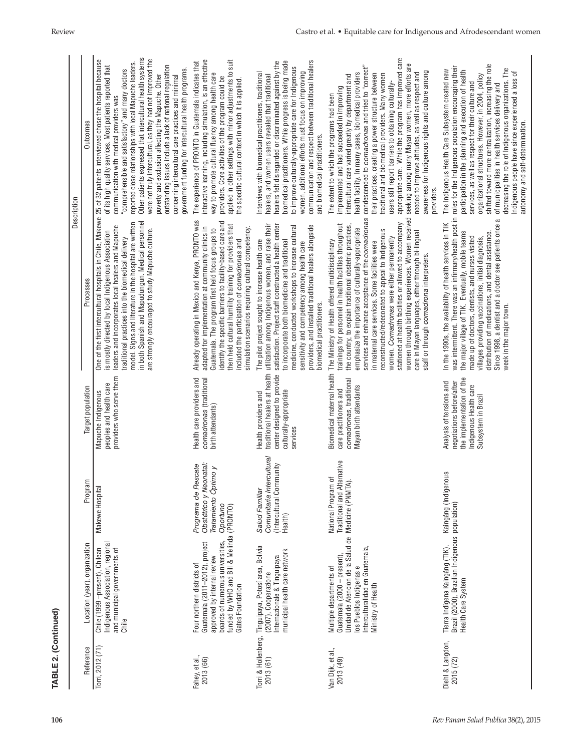| TABLE 2. (Continued)           |                                                                                                                                                                                                                                               |                                                                                    |                                                                                                                                     |                                                                                                                                                                                                                                                                                                                                                                                                                                                                                                                                                                                                     |                                                                                                                                                                                                                                                                                                                                                                                                                                                                                                                                                                                                                                                                                                                          |
|--------------------------------|-----------------------------------------------------------------------------------------------------------------------------------------------------------------------------------------------------------------------------------------------|------------------------------------------------------------------------------------|-------------------------------------------------------------------------------------------------------------------------------------|-----------------------------------------------------------------------------------------------------------------------------------------------------------------------------------------------------------------------------------------------------------------------------------------------------------------------------------------------------------------------------------------------------------------------------------------------------------------------------------------------------------------------------------------------------------------------------------------------------|--------------------------------------------------------------------------------------------------------------------------------------------------------------------------------------------------------------------------------------------------------------------------------------------------------------------------------------------------------------------------------------------------------------------------------------------------------------------------------------------------------------------------------------------------------------------------------------------------------------------------------------------------------------------------------------------------------------------------|
| Reference                      | Location (year), organization                                                                                                                                                                                                                 | Program                                                                            | Target population                                                                                                                   | Processes                                                                                                                                                                                                                                                                                                                                                                                                                                                                                                                                                                                           | Outcomes<br>Description                                                                                                                                                                                                                                                                                                                                                                                                                                                                                                                                                                                                                                                                                                  |
| Torri, 2012 (71)               | Indigenous Association, regional<br>Chile (1999 -present), Chilean<br>and municipal governments of<br>Chile                                                                                                                                   | Makewe Hospital                                                                    | providers who serve them<br>peoples and health care<br>Mapuche Indigenous                                                           | in both Spanish and Mapudungun. Medical personnel<br>model. Signs and literature in the hospital are written<br>leaders and incorporates local healers and Mapuche<br>are strongly encouraged to study Mapuche culture.<br>is mostly directed by local Indigenous Association<br>traditional practices into the biomedical delivery                                                                                                                                                                                                                                                                 | Other patients expressed that intercultural health systems<br>were not truly intercultural, as they had not improved the<br>One of the first intercultural hospitals in Chile, Makewe 25 of 32 patients interviewed chose the hospital because<br>reported close relationships with local Mapuche leaders.<br>outstanding issues include a lack of national regulation<br>of its high quality services. Most patients reported that<br>government funding for intercultural health programs.<br>"comprehensible and satisfactory" and many doctors<br>poverty and exclusion affecting the Mapuche. Other<br>concerning intercultural care practices and minimal<br>communication with medical providers was              |
| -ahey, et al.,<br>2013 (66)    | boards of numerous universities, Oportuno<br>funded by WHO and Bill & Melinda (PRONTO)<br>boards of numerous universities,<br>Guatemala (2011-2012), project<br>approved by internal review<br>Four northern districts of<br>Gates Foundation | Obstétrico y Neonatal:<br>Programa de Rescate<br>Tratamiento Óptimo y              | Health care providers and<br>comadronas (traditional<br>birth attendants)                                                           | Already operating in Mexico and Kenya, PRONTO was<br>identify the specific barriers to facility-based care and<br>then held cultural humility training for providers that<br>adapted for implementation at community clinics in<br>simulation scenarios requiring cultural competency.<br>Guatemala. The program first held focus groups to<br>included the participation of comadronas and                                                                                                                                                                                                         | interactive learning, including simulation, is an effective<br>applied in other settings with minor adjustments to suit<br>The experience of PRONTO in Guatemala indicates that<br>way to promote cultural fluency among health care<br>providers. Core activities of the program could be<br>the specific cultural context in which it is applied.                                                                                                                                                                                                                                                                                                                                                                      |
| 2013 (61)                      | Torri & Hollenberg, Tinguipaya, Potosí area, Bolivia<br>municipal health care network<br>Internazionale & Tinguipaya<br>(2007), Cooperazione                                                                                                  | Comunitaria Intercultural<br>(Intercultural Community<br>Salud Familiar<br>Health) | center designed to provide<br>culturally-appropriate<br>Health providers and<br>services                                            | traditional healers at health utilization among Indigenous women, and raise their<br>satisfaction. Project staff constructed a health center<br>providers, and installed traditional healers alongside<br>medicine, conducted workshops to increase cultural<br>The pilot project sought to increase health care<br>to incorporate both biomedicine and traditional<br>sensitivity and competency among health care<br>biomedical practitioners.                                                                                                                                                    | biomedical practitioners. While progress is being made<br>communication and respect between traditional healers<br>healers felt disregarded or discriminated against by the<br>to improve culturally-appropriate care for Indigenous<br>women, additional efforts must focus on improving<br>Interviews with biomedical practitioners, traditional<br>healers, and women users revealed that traditional<br>and biomedical practitioners.                                                                                                                                                                                                                                                                                |
| Van Dijk, et al.,<br>2013 (49) | Unidad de Atencion de la Salud de<br>Interculturalidad en Guatemala,<br>Guatemala (2000 - present),<br>los Pueblos Indígenas e<br>Multiple departments of<br>Ministry of Health                                                               | Traditional and Alternative<br>National Program of<br>Medicine (PNMTA).            | Biomedical maternal health<br>comadronas, traditional<br>Mayan birth attendants<br>care practitioners and                           | services and enhance acceptance of the comadronas<br>stationed at health facilities or allowed to accompany<br>trainings for personnel in health facilities throughout<br>the country, to explain traditional obstetric practices,<br>emphasize the importance of culturally-appropriate<br>reconstructed/redecorated to appeal to Indigenous<br>care in Mayan languages, either through bi-lingual<br>women. Comadronas were either permanently<br>The Ministry of Health offered multidisciplinary<br>in maternal care services. Some facilities were<br>staff or through comadrona interpreters. | appropriate care. While the program has improved care<br>women through birthing experiences. Women received seeking among many Mayan women, more efforts are<br>condescended to comadronas and tried to "correct"<br>awareness for Indigenous rights and culture among<br>needed to improve attitudes, as well as respect and<br>health facility. In many cases, biomedical providers<br>their practices, creating a power structure between<br>traditional and biomedical providers. Many women<br>intercultural care varied greatly by department and<br>users still report barriers to obtaining culturally-<br>implemented and had succeeded in improving<br>The extent to which the programs had been<br>providers. |
| Diehl & Langdon,<br>2015 (72)  | Brazil (2000), Brazilian Indigenous population)<br>Tierra Indígena Kaingáng (TIK),<br>Health Care System                                                                                                                                      | Kaingáng (Indigenous                                                               | the implementation of the<br>Analysis of tensions and<br>negotiations before/after<br>Indigenous Health care<br>Subsystem in Brazil | was intermittent. There was an infirmary/health post in roles for the Indigenous population encouraging their<br>the major village of TIK. Eventually, mobile teams participation in the planning and execution of health<br>Since 1998, a dentist and a doctor see patients once a<br>In the 1990s, the availability of health services in TIK<br>distribution of medications, and dental assistance.<br>made up of doctors, dentists, and nurses visited<br>villages providing vaccinations, initial diagnosis,<br>week in the major town.                                                        | shifted toward more centralization, increasing the role<br>decreasing the role of Indigenous organizations. The<br>The Indigenous Health Care Subsystem created new<br>Indigenous people have since experienced a loss of<br>organizational structures. However, in 2004, policy<br>services, as well as respect for their culture and<br>of municipalities in health services delivery and<br>autonomy and self-determination.                                                                                                                                                                                                                                                                                          |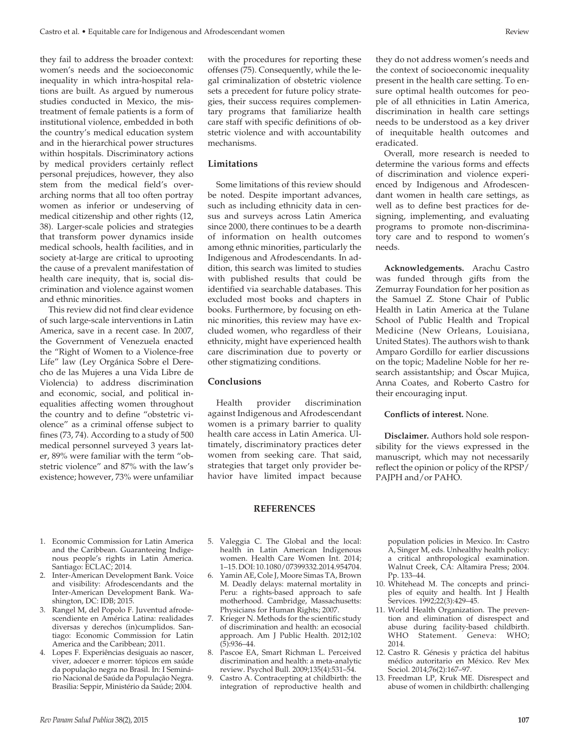they fail to address the broader context: women's needs and the socioeconomic inequality in which intra-hospital relations are built. As argued by numerous studies conducted in Mexico, the mistreatment of female patients is a form of institutional violence, embedded in both the country's medical education system and in the hierarchical power structures within hospitals. Discriminatory actions by medical providers certainly reflect personal prejudices, however, they also stem from the medical field's overarching norms that all too often portray women as inferior or undeserving of medical citizenship and other rights (12, 38). Larger-scale policies and strategies that transform power dynamics inside medical schools, health facilities, and in society at-large are critical to uprooting the cause of a prevalent manifestation of health care inequity, that is, social discrimination and violence against women and ethnic minorities.

This review did not find clear evidence of such large-scale interventions in Latin America, save in a recent case. In 2007, the Government of Venezuela enacted the "Right of Women to a Violence-free Life" law (Ley Orgánica Sobre el Derecho de las Mujeres a una Vida Libre de Violencia) to address discrimination and economic, social, and political inequalities affecting women throughout the country and to define "obstetric violence" as a criminal offense subject to fines (73, 74). According to a study of 500 medical personnel surveyed 3 years later, 89% were familiar with the term "obstetric violence" and 87% with the law's existence; however, 73% were unfamiliar

nous people's rights in Latin America.

2. Inter-American Development Bank. Voice and visibility: Afrodescendants and the Inter-American Development Bank. Wa-

3. Rangel M, del Popolo F. Juventud afrodescendiente en América Latina: realidades diversas y derechos (in)cumplidos. Santiago: Economic Commission for Latin America and the Caribbean; 2011. 4. Lopes F. Experiências desiguais ao nascer, viver, adoecer e morrer: tópicos em saúde da população negra no Brasil. In: I Seminário Nacional de Saúde da População Negra. Brasilia: Seppir, Ministério da Saúde; 2004.

Santiago: ECLAC; 2014.

shington, DC: IDB; 2015.

with the procedures for reporting these offenses (75). Consequently, while the legal criminalization of obstetric violence sets a precedent for future policy strategies, their success requires complementary programs that familiarize health care staff with specific definitions of obstetric violence and with accountability mechanisms.

## **Limitations**

Some limitations of this review should be noted. Despite important advances, such as including ethnicity data in census and surveys across Latin America since 2000, there continues to be a dearth of information on health outcomes among ethnic minorities, particularly the Indigenous and Afrodescendants. In addition, this search was limited to studies with published results that could be identified via searchable databases. This excluded most books and chapters in books. Furthermore, by focusing on ethnic minorities, this review may have excluded women, who regardless of their ethnicity, might have experienced health care discrimination due to poverty or other stigmatizing conditions.

### **Conclusions**

Health provider discrimination against Indigenous and Afrodescendant women is a primary barrier to quality health care access in Latin America. Ultimately, discriminatory practices deter women from seeking care. That said, strategies that target only provider behavior have limited impact because

they do not address women's needs and the context of socioeconomic inequality present in the health care setting. To ensure optimal health outcomes for people of all ethnicities in Latin America, discrimination in health care settings needs to be understood as a key driver of inequitable health outcomes and eradicated.

Overall, more research is needed to determine the various forms and effects of discrimination and violence experienced by Indigenous and Afrodescendant women in health care settings, as well as to define best practices for designing, implementing, and evaluating programs to promote non-discriminatory care and to respond to women's needs.

**Acknowledgements.** Arachu Castro was funded through gifts from the Zemurray Foundation for her position as the Samuel Z. Stone Chair of Public Health in Latin America at the Tulane School of Public Health and Tropical Medicine (New Orleans, Louisiana, United States). The authors wish to thank Amparo Gordillo for earlier discussions on the topic; Madeline Noble for her research assistantship; and Óscar Mujica, Anna Coates, and Roberto Castro for their encouraging input.

#### **Conflicts of interest.** None.

**Disclaimer.** Authors hold sole responsibility for the views expressed in the manuscript, which may not necessarily reflect the opinion or policy of the RPSP/ PAJPH and/or PAHO.

- 1. Economic Commission for Latin America and the Caribbean. Guaranteeing Indige-
	- 5. Valeggia C. The Global and the local: health in Latin American Indigenous women. Health Care Women Int. 2014; 1–15. DOI: 10.1080/07399332.2014.954704.

**REFERENCES**

- 6. Yamin AE, Cole J, Moore Simas TA, Brown M. Deadly delays: maternal mortality in Peru: a rights-based approach to safe motherhood. Cambridge, Massachusetts: Physicians for Human Rights; 2007.
- 7. Krieger N. Methods for the scientific study of discrimination and health: an ecosocial approach. Am J Public Health. 2012;102 (5):936–44.
- 8. Pascoe EA, Smart Richman L. Perceived discrimination and health: a meta-analytic review. Psychol Bull. 2009;135(4):531–54.
- 9. Castro A. Contracepting at childbirth: the integration of reproductive health and

population policies in Mexico. In: Castro A, Singer M, eds. Unhealthy health policy: a critical anthropological examination. Walnut Creek, CA: Altamira Press; 2004. Pp. 133–44.

- 10. Whitehead M. The concepts and principles of equity and health. Int J Health Services. 1992;22(3):429–45.
- 11. World Health Organization. The prevention and elimination of disrespect and abuse during facility-based childbirth. WHO Statement. Geneva: WHO; 2014.
- 12. Castro R. Génesis y práctica del habitus médico autoritario en México. Rev Mex Sociol. 2014;76(2):167–97.
- 13. Freedman LP, Kruk ME. Disrespect and abuse of women in childbirth: challenging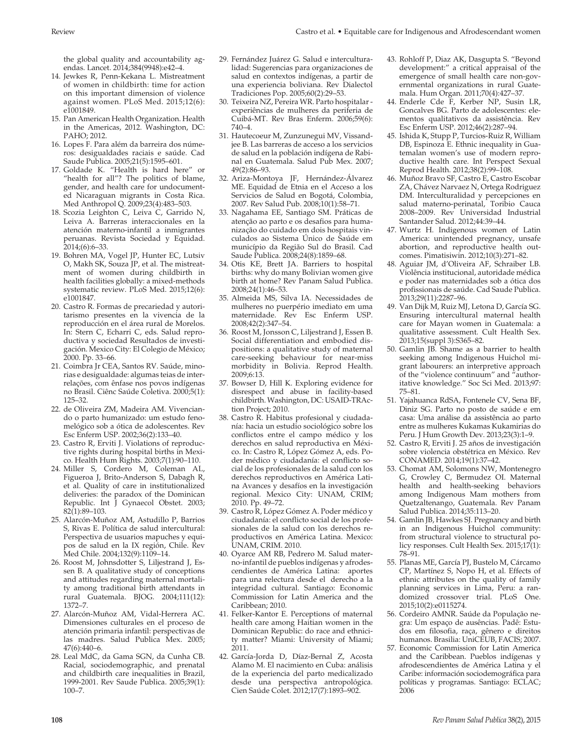the global quality and accountability agendas. Lancet. 2014;384(9948):e42–4.

- 14. Jewkes R, Penn-Kekana L. Mistreatment of women in childbirth: time for action on this important dimension of violence against women. PLoS Med. 2015;12(6): e1001849.
- 15. Pan American Health Organization. Health in the Americas, 2012. Washington, DC: PAHO; 2012.
- 16. Lopes F. Para além da barreira dos números: desigualdades raciais e saúde. Cad Saude Publica. 2005;21(5):1595–601.
- 17. Goldade K. "Health is hard here" or "health for all"? The politics of blame, gender, and health care for undocumented Nicaraguan migrants in Costa Rica. Med Anthropol Q. 2009;23(4):483–503.
- 18. Scozia Leighton C, Leiva C, Garrido N, Leiva A. Barreras interaccionales en la atención materno-infantil a inmigrantes peruanas. Revista Sociedad y Equidad. 2014;(6):6–33.
- 19. Bohren MA, Vogel JP, Hunter EC, Lutsiv O, Makh SK, Souza JP, et al. The mistreatment of women during childbirth in health facilities globally: a mixed-methods systematic review. PLoS Med. 2015;12(6): e1001847.
- 20. Castro R. Formas de precariedad y autoritarismo presentes en la vivencia de la reproducción en el área rural de Morelos. In: Stern C, Echarri C, eds. Salud reproductiva y sociedad Resultados de investigación. Mexico City: El Colegio de México; 2000. Pp. 33–66.
- 21. Coimbra Jr CEA, Santos RV. Saúde, minorias e desigualdade: algumas teias de interrelações, com ênfase nos povos indígenas no Brasil. Ciênc Saúde Coletiva. 2000;5(1): 125–32.
- 22. de Oliveira ZM, Madeira AM. Vivenciando o parto humanizado: um estudo fenomelógico sob a ótica de adolescentes. Rev Esc Enferm USP. 2002;36(2):133–40.
- 23. Castro R, Erviti J. Violations of reproductive rights during hospital births in Mexico. Health Hum Rights. 2003;7(1):90–110.
- 24. Miller S, Cordero M, Coleman AL, Figueroa J, Brito-Anderson S, Dabagh R, et al. Quality of care in institutionalized deliveries: the paradox of the Dominican Republic. Int J Gynaecol Obstet. 2003; 82(1):89–103.
- 25. Alarcón-Muñoz AM, Astudillo P, Barrios S, Rivas E. Política de salud intercultural: Perspectiva de usuarios mapuches y equipos de salud en la IX región, Chile. Rev Med Chile. 2004;132(9):1109–14.
- 26. Roost M, Johnsdotter S, Liljestrand J, Essen B. A qualitative study of conceptions and attitudes regarding maternal mortality among traditional birth attendants in rural Guatemala. BJOG. 2004;111(12): 1372–7.
- 27. Alarcón-Muñoz AM, Vidal-Herrera AC. Dimensiones culturales en el proceso de atención primaria infantil: perspectivas de las madres. Salud Publica Mex. 2005; 47(6):440–6.
- 28. Leal MdC, da Gama SGN, da Cunha CB. Racial, sociodemographic, and prenatal and childbirth care inequalities in Brazil, 1999-2001. Rev Saude Publica. 2005;39(1): 100–7.
- 29. Fernández Juárez G. Salud e interculturalidad: Sugerencias para organizaciones de salud en contextos indígenas, a partir de una experiencia boliviana. Rev Dialectol Tradiciones Pop. 2005;60(2):29–53.
- 30. Teixeira NZ, Pereira WR. Parto hospitalar experiências de mulheres da periferia de Cuibá-MT. Rev Bras Enferm. 2006;59(6): 740–4.
- 31. Hautecoeur M, Zunzunegui MV, Vissandjee B. Las barreras de acceso a los servicios de salud en la población indígena de Rabinal en Guatemala. Salud Pub Mex. 2007; 49(2):86–93.
- 32. Ariza-Montoya JF, Hernández-Álvarez ME. Equidad de Etnia en el Acceso a los Servicios de Salud en Bogotá, Colombia, 2007. Rev Salud Pub. 2008;10(1):58–71.
- 33. Nagahama EE, Santiago SM. Práticas de atenção ao parto e os desafios para humanização do cuidado em dois hospitais vinculados ao Sistema Único de Saúde em município da Região Sul do Brasil. Cad Saude Publica. 2008;24(8):1859–68.
- 34. Otis KE, Brett JA. Barriers to hospital births: why do many Bolivian women give birth at home? Rev Panam Salud Publica. 2008;24(1):46–53.
- 35. Almeida MS, Silva IA. Necessidades de mulheres no puerpério imediato em uma maternidade. Rev Esc Enferm USP. 2008;42(2):347–54.
- 36. Roost M, Jonsson C, Liljestrand J, Essen B. Social differentiation and embodied dispositions: a qualitative study of maternal care-seeking behaviour for near-miss morbidity in Bolivia. Reprod Health. 2009;6:13.
- 37. Bowser D, Hill K. Exploring evidence for disrespect and abuse in facility-based childbirth. Washington, DC: USAID-TRAction Project; 2010.
- 38. Castro R. Habitus profesional y ciudadanía: hacia un estudio sociológico sobre los conflictos entre el campo médico y los derechos en salud reproductiva en México. In: Castro R, López Gómez A, eds. Poder médico y ciudadanía: el conflicto social de los profesionales de la salud con los derechos reproductivos en América Latina Avances y desafíos en la investigación regional. Mexico City: UNAM, CRIM; 2010. Pp. 49–72.
- 39. Castro R, López Gómez A. Poder médico y ciudadanía: el conflicto social de los profesionales de la salud con los derechos reproductivos en América Latina. Mexico: UNAM, CRIM. 2010.
- 40. Oyarce AM RB, Pedrero M. Salud materno-infantil de pueblos indígenas y afrodescendientes de América Latina: aportes para una relectura desde el derecho a la integridad cultural. Santiago: Economic Commission for Latin America and the Caribbean; 2010.
- 41. Felker-Kantor E. Perceptions of maternal health care among Haitian women in the Dominican Republic: do race and ethnicity matter? Miami: University of Miami; 2011.
- 42. García-Jorda D, Díaz-Bernal Z, Acosta Alamo M. El nacimiento en Cuba: análisis de la experiencia del parto medicalizado desde una perspectiva antropológica*.* Cien Saúde Colet. 2012;17(7):1893–902.
- 43. Rohloff P, Diaz AK, Dasgupta S. "Beyond development:" a critical appraisal of the emergence of small health care non-governmental organizations in rural Guatemala. Hum Organ. 2011;70(4):427–37.
- 44. Enderle Cde F, Kerber NP, Susin LR, Goncalves BG. Parto de adolescentes: elementos qualitativos da assistência. Rev Esc Enferm USP. 2012;46(2):287–94.
- 45. Ishida K, Stupp P, Turcios-Ruiz R, William DB, Espinoza E. Ethnic inequality in Guatemalan women's use of modern reproductive health care. Int Perspect Sexual Reprod Health. 2012;38(2):99–108.
- 46. Muñoz Bravo SF, Castro E, Castro Escobar ZA, Chávez Narvaez N, Ortega Rodriguez DM. Interculturalidad y percepciones en salud materno-perinatal, Toribio Cauca 2008–2009. Rev Universidad Industrial Santander Salud. 2012;44:39–44.
- 47. Wurtz H. Indigenous women of Latin America: unintended pregnancy, unsafe abortion, and reproductive health outcomes. Pimatisiwin. 2012;10(3):271–82.
- 48. Aguiar JM, d'Oliveira AF, Schraiber LB. Violência institucional, autoridade médica e poder nas maternidades sob a ótica dos profissionais de saúde. Cad Saude Publica. 2013;29(11):2287–96.
- 49. Van Dijk M, Ruiz MJ, Letona D, García SG. Ensuring intercultural maternal health care for Mayan women in Guatemala: a qualitative assessment. Cult Health Sex. 2013;15(suppl 3):S365–82.
- 50. Gamlin JB. Shame as a barrier to health seeking among Indigenous Huichol migrant labourers: an interpretive approach of the "violence continuum" and "authoritative knowledge." Soc Sci Med. 2013;97: 75–81.
- 51. Yajahuanca RdSA, Fontenele CV, Sena BF, Diniz SG. Parto no posto de saúde e em casa: Uma análise da assistência ao parto entre as mulheres Kukamas Kukamirias do Peru. J Hum Growth Dev. 2013;23(3):1–9.
- 52. Castro R, Erviti J. 25 años de investigación sobre violencia obstétrica en México. Rev CONAMED. 2014;19(1):37–42.
- 53. Chomat AM, Solomons NW, Montenegro G, Crowley C, Bermudez OI. Maternal health and health-seeking behaviors among Indigenous Mam mothers from Quetzaltenango, Guatemala. Rev Panam Salud Publica. 2014;35:113–20.
- 54. Gamlin JB, Hawkes SJ. Pregnancy and birth in an Indigenous Huichol community: from structural violence to structural policy responses. Cult Health Sex. 2015;17(1): 78–91.
- 55. Planas ME, García PJ, Bustelo M, Cárcamo CP, Martínez S, Nopo H, et al. Effects of ethnic attributes on the quality of family planning services in Lima, Peru: a randomized crossover trial. PLoS One. 2015;10(2):e0115274.
- 56. Cordeiro AMNR. Saúde da População negra: Um espaço de ausências. Padê: Estudos em filosofia, raça, gênero e direitos humanos. Brasilia: UniCEUB, FACIS; 2007.
- 57. Economic Commission for Latin America and the Caribbean. Pueblos indígenas y afrodescendientes de América Latina y el Caribe: información sociodemográfica para políticas y programas. Santiago: ECLAC; 2006